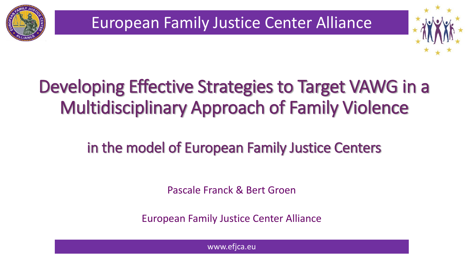

European Family Justice Center Alliance



### Developing Effective Strategies to Target VAWG in a Multidisciplinary Approach of Family Violence

#### in the model of European Family Justice Centers

Pascale Franck & Bert Groen

European Family Justice Center Alliance

www.efjca.eu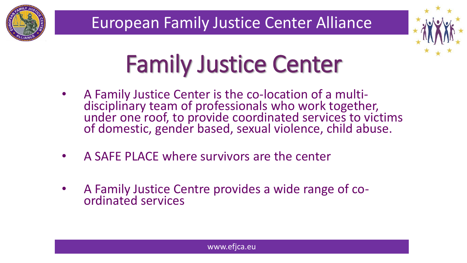



# Family Justice Center

- A Family Justice Center is the co-location of a multidisciplinary team of professionals who work together, under one roof, to provide coordinated services to victims of domestic, gender based, sexual violence, child abuse.
- A SAFE PLACE where survivors are the center
- A Family Justice Centre provides a wide range of coordinated services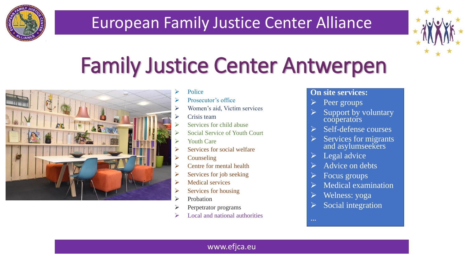

#### European Family Justice Center Alliance



## Family Justice Center Antwerpen



- Police
- Prosecutor's office
- Women's aid, Victim services
- Crisis team
- Services for child abuse
- Social Service of Youth Court
- Youth Care
- $\triangleright$  Services for social welfare
- $\triangleright$  Counseling
- $\triangleright$  Centre for mental health
- $\triangleright$  Services for job seeking
- $\triangleright$  Medical services
- $\triangleright$  Services for housing
- Probation
- Perpetrator programs
- Local and national authorities

#### **On site services:**

- Peer groups
- Support by voluntary cooperators
- $\triangleright$  Self-defense courses
- Services for migrants and asylumseekers
- $\triangleright$  Legal advice
- Advice on debts
- Focus groups
- Medical examination
- Welness: yoga

…

Social integration

#### www.efjca.eu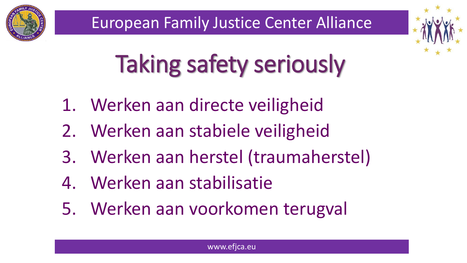



# Taking safety seriously

- 1. Werken aan directe veiligheid
- 2. Werken aan stabiele veiligheid
- 3. Werken aan herstel (traumaherstel)
- 4. Werken aan stabilisatie
- 5. Werken aan voorkomen terugval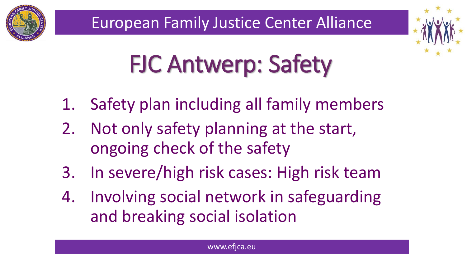



# FJC Antwerp: Safety

- 1. Safety plan including all family members
- 2. Not only safety planning at the start, ongoing check of the safety
- 3. In severe/high risk cases: High risk team
- 4. Involving social network in safeguarding and breaking social isolation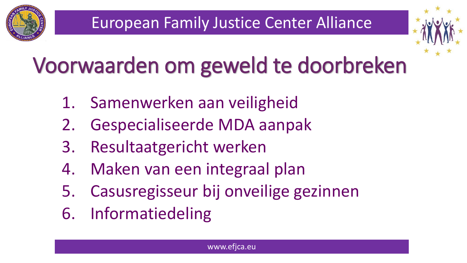

## Voorwaarden om geweld te doorbreken

- 1. Samenwerken aan veiligheid
- 2. Gespecialiseerde MDA aanpak
- 3. Resultaatgericht werken
- 4. Maken van een integraal plan
- 5. Casusregisseur bij onveilige gezinnen
- 6. Informatiedeling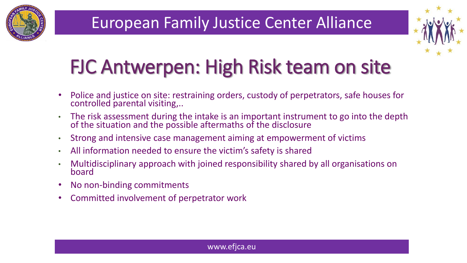



## FJC Antwerpen: High Risk team on site

- Police and justice on site: restraining orders, custody of perpetrators, safe houses for controlled parental visiting,..
- The risk assessment during the intake is an important instrument to go into the depth of the situation and the possible aftermaths of the disclosure
- Strong and intensive case management aiming at empowerment of victims
- All information needed to ensure the victim's safety is shared
- Multidisciplinary approach with joined responsibility shared by all organisations on board
- No non-binding commitments
- Committed involvement of perpetrator work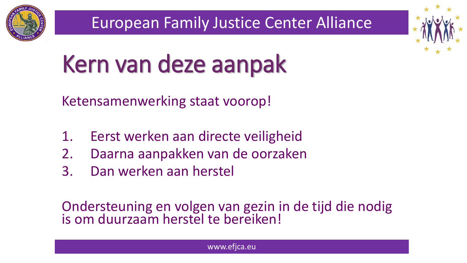



# Kern van deze aanpak

Ketensamenwerking staat voorop!

- 1. Eerst werken aan directe veiligheid
- 2. Daarna aanpakken van de oorzaken
- 3. Dan werken aan herstel

Ondersteuning en volgen van gezin in de tijd die nodig is om duurzaam herstel te bereiken!